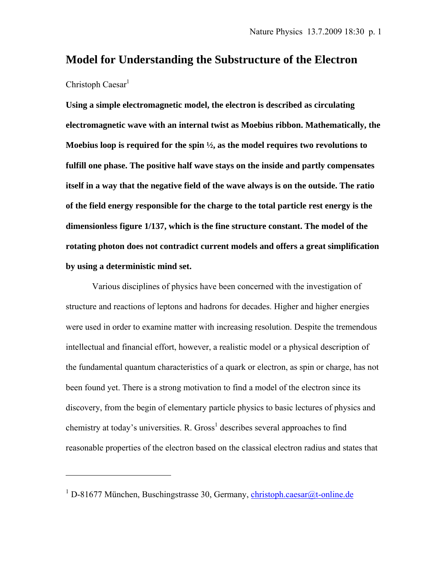# **Model for Understanding the Substructure of the Electron**

# Christoph Caesar $<sup>1</sup>$ </sup>

 $\overline{a}$ 

**Using a simple electromagnetic model, the electron is described as circulating electromagnetic wave with an internal twist as Moebius ribbon. Mathematically, the Moebius loop is required for the spin ½, as the model requires two revolutions to fulfill one phase. The positive half wave stays on the inside and partly compensates itself in a way that the negative field of the wave always is on the outside. The ratio of the field energy responsible for the charge to the total particle rest energy is the dimensionless figure 1/137, which is the fine structure constant. The model of the rotating photon does not contradict current models and offers a great simplification by using a deterministic mind set.** 

Various disciplines of physics have been concerned with the investigation of structure and reactions of leptons and hadrons for decades. Higher and higher energies were used in order to examine matter with increasing resolution. Despite the tremendous intellectual and financial effort, however, a realistic model or a physical description of the fundamental quantum characteristics of a quark or electron, as spin or charge, has not been found yet. There is a strong motivation to find a model of the electron since its discovery, from the begin of elementary particle physics to basic lectures of physics and chemistry at today's universities. R. Gross<sup>1</sup> describes several approaches to find reasonable properties of the electron based on the classical electron radius and states that

<sup>&</sup>lt;sup>1</sup> D-81677 München, Buschingstrasse 30, Germany, christoph.caesar@t-online.de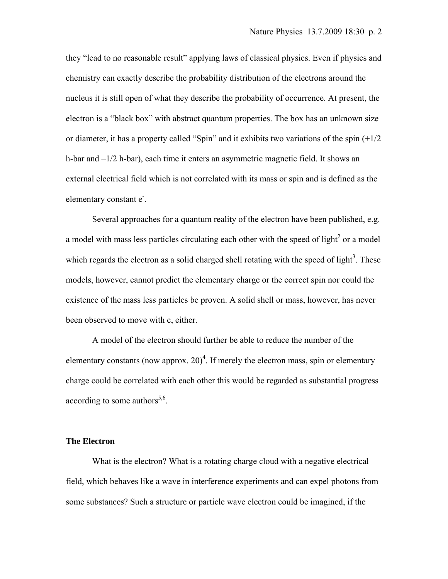they "lead to no reasonable result" applying laws of classical physics. Even if physics and chemistry can exactly describe the probability distribution of the electrons around the nucleus it is still open of what they describe the probability of occurrence. At present, the electron is a "black box" with abstract quantum properties. The box has an unknown size or diameter, it has a property called "Spin" and it exhibits two variations of the spin  $(+1/2)$ h-bar and –1/2 h-bar), each time it enters an asymmetric magnetic field. It shows an external electrical field which is not correlated with its mass or spin and is defined as the elementary constant e<sup>-</sup>.

Several approaches for a quantum reality of the electron have been published, e.g. a model with mass less particles circulating each other with the speed of light<sup>2</sup> or a model which regards the electron as a solid charged shell rotating with the speed of light<sup>3</sup>. These models, however, cannot predict the elementary charge or the correct spin nor could the existence of the mass less particles be proven. A solid shell or mass, however, has never been observed to move with c, either.

A model of the electron should further be able to reduce the number of the elementary constants (now approx.  $20)^4$ . If merely the electron mass, spin or elementary charge could be correlated with each other this would be regarded as substantial progress according to some authors<sup>5,6</sup>.

#### **The Electron**

What is the electron? What is a rotating charge cloud with a negative electrical field, which behaves like a wave in interference experiments and can expel photons from some substances? Such a structure or particle wave electron could be imagined, if the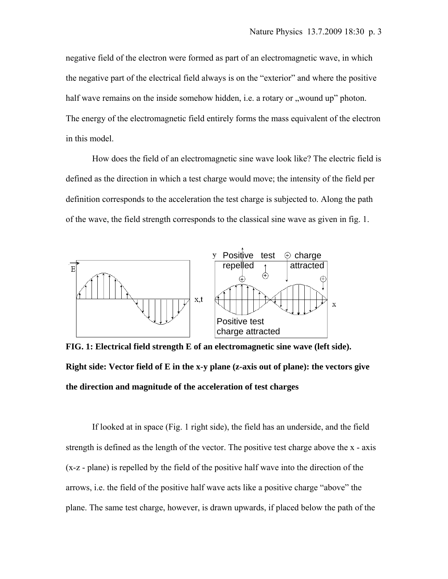negative field of the electron were formed as part of an electromagnetic wave, in which the negative part of the electrical field always is on the "exterior" and where the positive half wave remains on the inside somehow hidden, i.e. a rotary or , wound up" photon. The energy of the electromagnetic field entirely forms the mass equivalent of the electron in this model.

How does the field of an electromagnetic sine wave look like? The electric field is defined as the direction in which a test charge would move; the intensity of the field per definition corresponds to the acceleration the test charge is subjected to. Along the path of the wave, the field strength corresponds to the classical sine wave as given in fig. 1.



**FIG. 1: Electrical field strength E of an electromagnetic sine wave (left side). Right side: Vector field of E in the x-y plane (z-axis out of plane): the vectors give the direction and magnitude of the acceleration of test charges** 

If looked at in space (Fig. 1 right side), the field has an underside, and the field strength is defined as the length of the vector. The positive test charge above the x - axis (x-z - plane) is repelled by the field of the positive half wave into the direction of the arrows, i.e. the field of the positive half wave acts like a positive charge "above" the plane. The same test charge, however, is drawn upwards, if placed below the path of the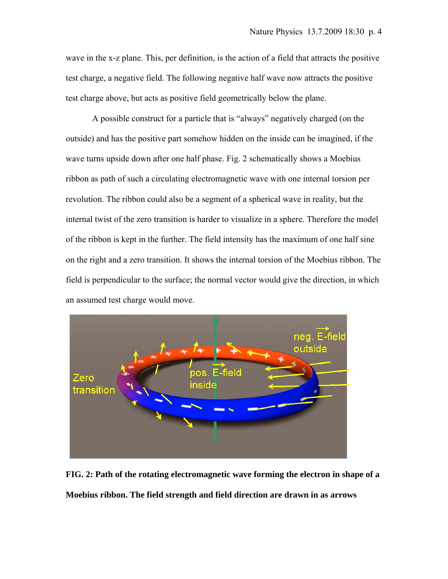wave in the x-z plane. This, per definition, is the action of a field that attracts the positive test charge, a negative field. The following negative half wave now attracts the positive test charge above, but acts as positive field geometrically below the plane.

A possible construct for a particle that is "always" negatively charged (on the outside) and has the positive part somehow hidden on the inside can be imagined, if the wave turns upside down after one half phase. Fig. 2 schematically shows a Moebius ribbon as path of such a circulating electromagnetic wave with one internal torsion per revolution. The ribbon could also be a segment of a spherical wave in reality, but the internal twist of the zero transition is harder to visualize in a sphere. Therefore the model of the ribbon is kept in the further. The field intensity has the maximum of one half sine on the right and a zero transition. It shows the internal torsion of the Moebius ribbon. The field is perpendicular to the surface; the normal vector would give the direction, in which an assumed test charge would move.



**FIG. 2: Path of the rotating electromagnetic wave forming the electron in shape of a Moebius ribbon. The field strength and field direction are drawn in as arrows**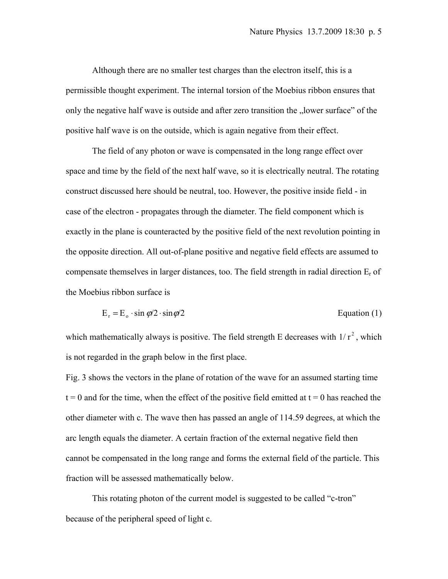Although there are no smaller test charges than the electron itself, this is a permissible thought experiment. The internal torsion of the Moebius ribbon ensures that only the negative half wave is outside and after zero transition the "lower surface" of the positive half wave is on the outside, which is again negative from their effect.

The field of any photon or wave is compensated in the long range effect over space and time by the field of the next half wave, so it is electrically neutral. The rotating construct discussed here should be neutral, too. However, the positive inside field - in case of the electron - propagates through the diameter. The field component which is exactly in the plane is counteracted by the positive field of the next revolution pointing in the opposite direction. All out-of-plane positive and negative field effects are assumed to compensate themselves in larger distances, too. The field strength in radial direction  $E_r$  of the Moebius ribbon surface is

$$
E_r = E_o \cdot \sin \varphi / 2 \cdot \sin \varphi / 2
$$
 Equation (1)

which mathematically always is positive. The field strength E decreases with  $1/r^2$ , which is not regarded in the graph below in the first place.

Fig. 3 shows the vectors in the plane of rotation of the wave for an assumed starting time  $t = 0$  and for the time, when the effect of the positive field emitted at  $t = 0$  has reached the other diameter with c. The wave then has passed an angle of 114.59 degrees, at which the arc length equals the diameter. A certain fraction of the external negative field then cannot be compensated in the long range and forms the external field of the particle. This fraction will be assessed mathematically below.

This rotating photon of the current model is suggested to be called "c-tron" because of the peripheral speed of light c.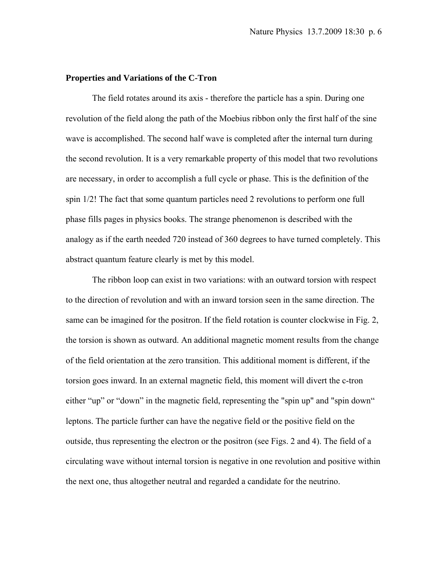## **Properties and Variations of the C-Tron**

The field rotates around its axis - therefore the particle has a spin. During one revolution of the field along the path of the Moebius ribbon only the first half of the sine wave is accomplished. The second half wave is completed after the internal turn during the second revolution. It is a very remarkable property of this model that two revolutions are necessary, in order to accomplish a full cycle or phase. This is the definition of the spin 1/2! The fact that some quantum particles need 2 revolutions to perform one full phase fills pages in physics books. The strange phenomenon is described with the analogy as if the earth needed 720 instead of 360 degrees to have turned completely. This abstract quantum feature clearly is met by this model.

The ribbon loop can exist in two variations: with an outward torsion with respect to the direction of revolution and with an inward torsion seen in the same direction. The same can be imagined for the positron. If the field rotation is counter clockwise in Fig. 2, the torsion is shown as outward. An additional magnetic moment results from the change of the field orientation at the zero transition. This additional moment is different, if the torsion goes inward. In an external magnetic field, this moment will divert the c-tron either "up" or "down" in the magnetic field, representing the "spin up" and "spin down" leptons. The particle further can have the negative field or the positive field on the outside, thus representing the electron or the positron (see Figs. 2 and 4). The field of a circulating wave without internal torsion is negative in one revolution and positive within the next one, thus altogether neutral and regarded a candidate for the neutrino.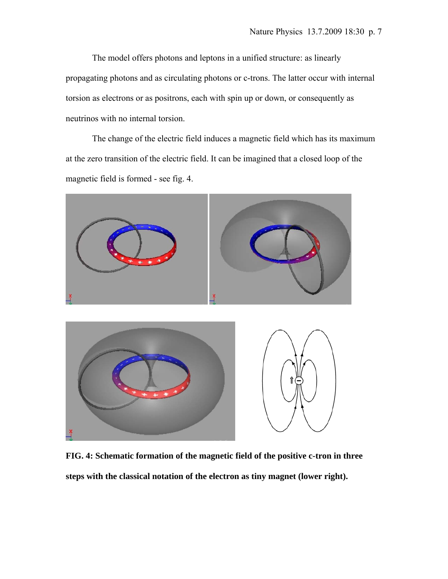The model offers photons and leptons in a unified structure: as linearly propagating photons and as circulating photons or c-trons. The latter occur with internal torsion as electrons or as positrons, each with spin up or down, or consequently as neutrinos with no internal torsion.

The change of the electric field induces a magnetic field which has its maximum at the zero transition of the electric field. It can be imagined that a closed loop of the magnetic field is formed - see fig. 4.



**FIG. 4: Schematic formation of the magnetic field of the positive c-tron in three steps with the classical notation of the electron as tiny magnet (lower right).**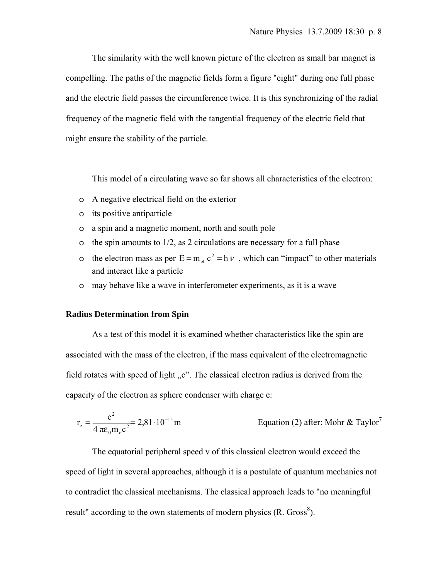The similarity with the well known picture of the electron as small bar magnet is compelling. The paths of the magnetic fields form a figure "eight" during one full phase and the electric field passes the circumference twice. It is this synchronizing of the radial frequency of the magnetic field with the tangential frequency of the electric field that might ensure the stability of the particle.

This model of a circulating wave so far shows all characteristics of the electron:

- o A negative electrical field on the exterior
- o its positive antiparticle
- o a spin and a magnetic moment, north and south pole
- $\circ$  the spin amounts to 1/2, as 2 circulations are necessary for a full phase
- o the electron mass as per  $E = m_{el} c^2 = h v$ , which can "impact" to other materials and interact like a particle
- o may behave like a wave in interferometer experiments, as it is a wave

#### **Radius Determination from Spin**

As a test of this model it is examined whether characteristics like the spin are associated with the mass of the electron, if the mass equivalent of the electromagnetic field rotates with speed of light  $C$ . The classical electron radius is derived from the capacity of the electron as sphere condenser with charge e:

$$
r_e = \frac{e^2}{4 \pi \epsilon_0 m_e c^2} = 2.81 \cdot 10^{-15} \text{ m}
$$
   
Equation (2) after: Mohr & Taylor<sup>7</sup>

The equatorial peripheral speed v of this classical electron would exceed the speed of light in several approaches, although it is a postulate of quantum mechanics not to contradict the classical mechanisms. The classical approach leads to "no meaningful result" according to the own statements of modern physics  $(R. Gross<sup>8</sup>)$ .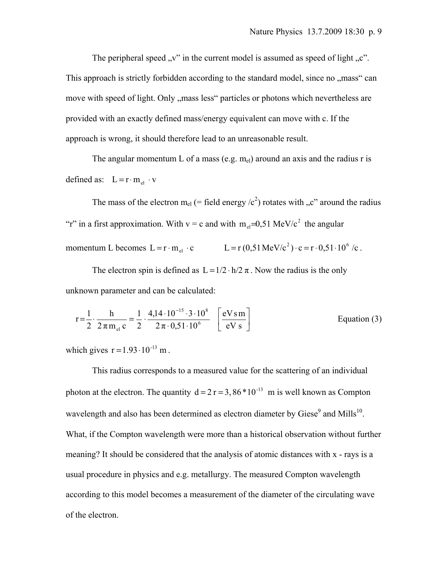The peripheral speed  $\mathbf{v}$ " in the current model is assumed as speed of light  $\mathbf{v}$ ".

This approach is strictly forbidden according to the standard model, since no "mass" can move with speed of light. Only "mass less" particles or photons which nevertheless are provided with an exactly defined mass/energy equivalent can move with c. If the approach is wrong, it should therefore lead to an unreasonable result.

The angular momentum L of a mass (e.g.  $m_{el}$ ) around an axis and the radius r is defined as:  $L = r \cdot m_{el} \cdot v$ 

The mass of the electron m<sub>el</sub> (= field energy  $\langle c^2 \rangle$  rotates with  $C$ , c" around the radius "r" in a first approximation. With  $v = c$  and with  $m<sub>a</sub>=0.51$  MeV/ $c<sup>2</sup>$  the angular momentum L becomes  $L = r \cdot m_{el} \cdot c$   $L = r (0.51 \text{ MeV}/c^2) \cdot c = r \cdot 0.51 \cdot 10^6 \text{ /c}.$ 

The electron spin is defined as  $L = 1/2 \cdot h/2 \pi$ . Now the radius is the only unknown parameter and can be calculated:

$$
r = \frac{1}{2} \cdot \frac{h}{2\pi m_{el} c} = \frac{1}{2} \cdot \frac{4,14 \cdot 10^{-15} \cdot 3 \cdot 10^8}{2\pi \cdot 0,51 \cdot 10^6} \quad \left[ \frac{eV \sin}{eV \sin} \right]
$$
   
Equation (3)

which gives  $r = 1.93 \cdot 10^{-13}$  m.

This radius corresponds to a measured value for the scattering of an individual photon at the electron. The quantity  $d = 2 r = 3,86*10^{-13}$  m is well known as Compton wavelength and also has been determined as electron diameter by Giese<sup>9</sup> and Mills<sup>10</sup>. What, if the Compton wavelength were more than a historical observation without further meaning? It should be considered that the analysis of atomic distances with x - rays is a usual procedure in physics and e.g. metallurgy. The measured Compton wavelength according to this model becomes a measurement of the diameter of the circulating wave of the electron.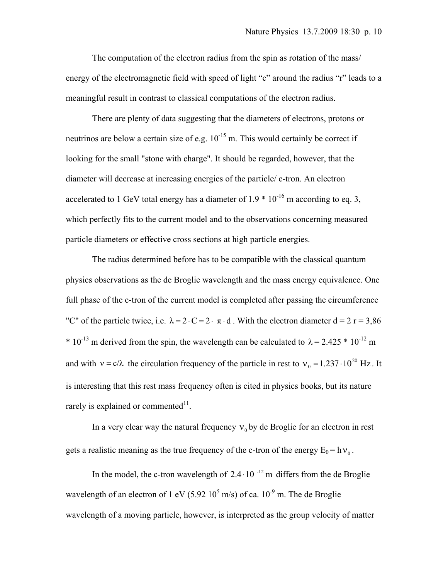The computation of the electron radius from the spin as rotation of the mass/ energy of the electromagnetic field with speed of light "c" around the radius "r" leads to a meaningful result in contrast to classical computations of the electron radius.

There are plenty of data suggesting that the diameters of electrons, protons or neutrinos are below a certain size of e.g.  $10^{-15}$  m. This would certainly be correct if looking for the small "stone with charge". It should be regarded, however, that the diameter will decrease at increasing energies of the particle/ c-tron. An electron accelerated to 1 GeV total energy has a diameter of  $1.9 * 10^{-16}$  m according to eq. 3, which perfectly fits to the current model and to the observations concerning measured particle diameters or effective cross sections at high particle energies.

The radius determined before has to be compatible with the classical quantum physics observations as the de Broglie wavelength and the mass energy equivalence. One full phase of the c-tron of the current model is completed after passing the circumference "C" of the particle twice, i.e.  $\lambda = 2 \cdot C = 2 \cdot \pi \cdot d$ . With the electron diameter  $d = 2 \text{ r} = 3.86$ \* 10<sup>-13</sup> m derived from the spin, the wavelength can be calculated to  $\lambda$  = 2.425 \* 10<sup>-12</sup> m and with  $v = c/\lambda$  the circulation frequency of the particle in rest to  $v_0 = 1.237 \cdot 10^{20}$  Hz. It is interesting that this rest mass frequency often is cited in physics books, but its nature rarely is explained or commented $11$ .

In a very clear way the natural frequency  $v_0$  by de Broglie for an electron in rest gets a realistic meaning as the true frequency of the c-tron of the energy  $E_0 = h v_0$ .

In the model, the c-tron wavelength of  $2.4 \cdot 10^{-12}$  m differs from the de Broglie wavelength of an electron of 1 eV (5.92  $10^5$  m/s) of ca.  $10^{-9}$  m. The de Broglie wavelength of a moving particle, however, is interpreted as the group velocity of matter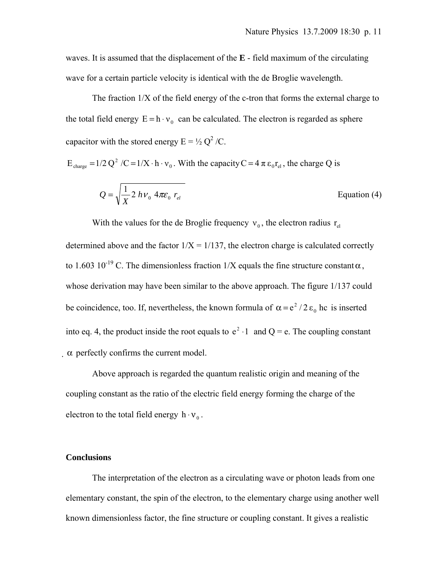waves. It is assumed that the displacement of the **E** - field maximum of the circulating wave for a certain particle velocity is identical with the de Broglie wavelength.

The fraction 1/X of the field energy of the c-tron that forms the external charge to the total field energy  $E = h \cdot v_0$  can be calculated. The electron is regarded as sphere capacitor with the stored energy  $E = \frac{1}{2} Q^2 / C$ .

$$
E_{\text{charge}} = 1/2 Q^2 / C = 1/X \cdot h \cdot v_0
$$
. With the capacity  $C = 4 \pi \epsilon_0 r_{el}$ , the charge Q is

$$
Q = \sqrt{\frac{1}{X} 2 h v_0 4 \pi \varepsilon_0 r_{el}}
$$
 Equation (4)

With the values for the de Broglie frequency  $v_0$ , the electron radius  $r_{el}$ determined above and the factor  $1/X = 1/137$ , the electron charge is calculated correctly to 1.603 10<sup>-19</sup> C. The dimensionless fraction  $1/X$  equals the fine structure constant  $\alpha$ , whose derivation may have been similar to the above approach. The figure 1/137 could be coincidence, too. If, nevertheless, the known formula of  $\alpha = e^2 / 2 \epsilon_0$  hc is inserted into eq. 4, the product inside the root equals to  $e^2 \cdot 1$  and Q = e. The coupling constant  $\alpha$  perfectly confirms the current model.

Above approach is regarded the quantum realistic origin and meaning of the coupling constant as the ratio of the electric field energy forming the charge of the electron to the total field energy  $h \cdot v_0$ .

## **Conclusions**

The interpretation of the electron as a circulating wave or photon leads from one elementary constant, the spin of the electron, to the elementary charge using another well known dimensionless factor, the fine structure or coupling constant. It gives a realistic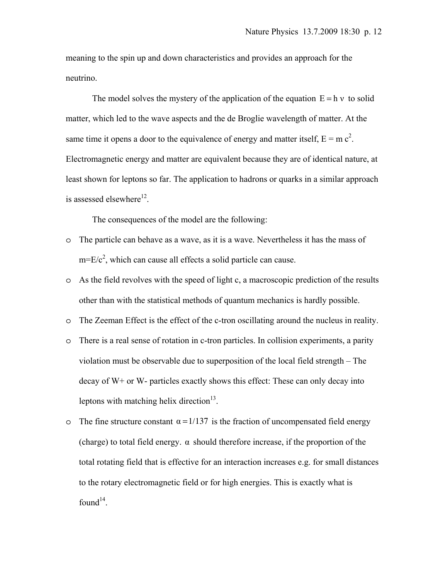meaning to the spin up and down characteristics and provides an approach for the neutrino.

The model solves the mystery of the application of the equation  $E = h v$  to solid matter, which led to the wave aspects and the de Broglie wavelength of matter. At the same time it opens a door to the equivalence of energy and matter itself,  $E = mc^2$ . Electromagnetic energy and matter are equivalent because they are of identical nature, at least shown for leptons so far. The application to hadrons or quarks in a similar approach is assessed elsewhere $^{12}$ .

The consequences of the model are the following:

- o The particle can behave as a wave, as it is a wave. Nevertheless it has the mass of  $m=E/c^2$ , which can cause all effects a solid particle can cause.
- o As the field revolves with the speed of light c, a macroscopic prediction of the results other than with the statistical methods of quantum mechanics is hardly possible.
- o The Zeeman Effect is the effect of the c-tron oscillating around the nucleus in reality.
- o There is a real sense of rotation in c-tron particles. In collision experiments, a parity violation must be observable due to superposition of the local field strength – The decay of W+ or W- particles exactly shows this effect: These can only decay into leptons with matching helix direction<sup>13</sup>.
- o The fine structure constant  $\alpha = 1/137$  is the fraction of uncompensated field energy (charge) to total field energy.  $\alpha$  should therefore increase, if the proportion of the total rotating field that is effective for an interaction increases e.g. for small distances to the rotary electromagnetic field or for high energies. This is exactly what is found<sup>14</sup>.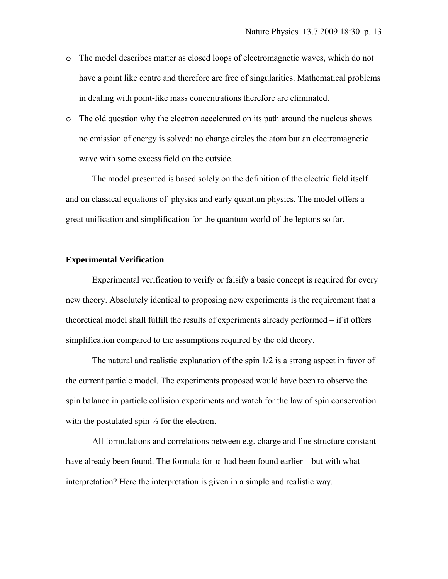- o The model describes matter as closed loops of electromagnetic waves, which do not have a point like centre and therefore are free of singularities. Mathematical problems in dealing with point-like mass concentrations therefore are eliminated.
- o The old question why the electron accelerated on its path around the nucleus shows no emission of energy is solved: no charge circles the atom but an electromagnetic wave with some excess field on the outside.

The model presented is based solely on the definition of the electric field itself and on classical equations of physics and early quantum physics. The model offers a great unification and simplification for the quantum world of the leptons so far.

### **Experimental Verification**

Experimental verification to verify or falsify a basic concept is required for every new theory. Absolutely identical to proposing new experiments is the requirement that a theoretical model shall fulfill the results of experiments already performed – if it offers simplification compared to the assumptions required by the old theory.

The natural and realistic explanation of the spin 1/2 is a strong aspect in favor of the current particle model. The experiments proposed would have been to observe the spin balance in particle collision experiments and watch for the law of spin conservation with the postulated spin  $\frac{1}{2}$  for the electron.

All formulations and correlations between e.g. charge and fine structure constant have already been found. The formula for  $\alpha$  had been found earlier – but with what interpretation? Here the interpretation is given in a simple and realistic way.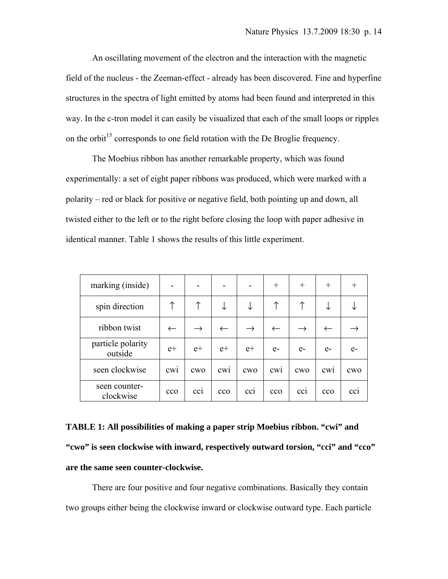An oscillating movement of the electron and the interaction with the magnetic field of the nucleus - the Zeeman-effect - already has been discovered. Fine and hyperfine structures in the spectra of light emitted by atoms had been found and interpreted in this way. In the c-tron model it can easily be visualized that each of the small loops or ripples on the orbit<sup>15</sup> corresponds to one field rotation with the De Broglie frequency.

The Moebius ribbon has another remarkable property, which was found experimentally: a set of eight paper ribbons was produced, which were marked with a polarity – red or black for positive or negative field, both pointing up and down, all twisted either to the left or to the right before closing the loop with paper adhesive in identical manner. Table 1 shows the results of this little experiment.

| marking (inside)             |                 |               |                 |               | $^{+}$          | $^{+}$        | $^{+}$          | $^+$ |
|------------------------------|-----------------|---------------|-----------------|---------------|-----------------|---------------|-----------------|------|
| spin direction               | ↑               | ↑             |                 |               | 个               | ↑             |                 |      |
| ribbon twist                 | $\leftarrow$    | $\rightarrow$ | $\leftarrow$    | $\rightarrow$ | $\leftarrow$    | $\rightarrow$ |                 |      |
| particle polarity<br>outside | $e+$            | $e+$          | $e+$            | $e+$          | $e-$            | $e-$          | $e-$            | $e-$ |
| seen clockwise               | CW1             | cwo           | CW1             | <b>CWO</b>    | CW1             | <b>CWO</b>    | CW1             | CWO  |
| seen counter-<br>clockwise   | cc <sub>O</sub> | cc1           | cc <sub>O</sub> | cc1           | cc <sub>0</sub> | cc1           | cc <sub>0</sub> | cc1  |

**TABLE 1: All possibilities of making a paper strip Moebius ribbon. "cwi" and "cwo" is seen clockwise with inward, respectively outward torsion, "cci" and "cco" are the same seen counter-clockwise.** 

There are four positive and four negative combinations. Basically they contain two groups either being the clockwise inward or clockwise outward type. Each particle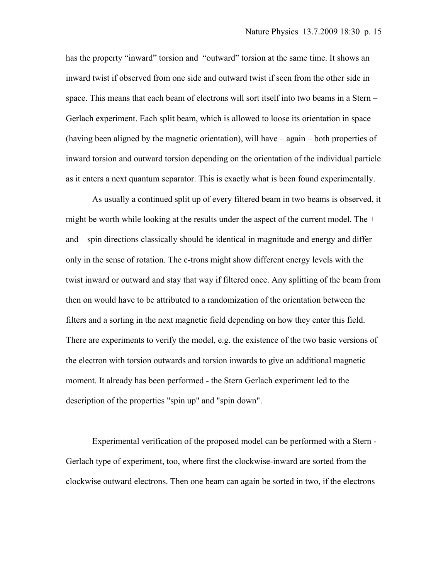has the property "inward" torsion and "outward" torsion at the same time. It shows an inward twist if observed from one side and outward twist if seen from the other side in space. This means that each beam of electrons will sort itself into two beams in a Stern – Gerlach experiment. Each split beam, which is allowed to loose its orientation in space (having been aligned by the magnetic orientation), will have – again – both properties of inward torsion and outward torsion depending on the orientation of the individual particle as it enters a next quantum separator. This is exactly what is been found experimentally.

As usually a continued split up of every filtered beam in two beams is observed, it might be worth while looking at the results under the aspect of the current model. The  $+$ and – spin directions classically should be identical in magnitude and energy and differ only in the sense of rotation. The c-trons might show different energy levels with the twist inward or outward and stay that way if filtered once. Any splitting of the beam from then on would have to be attributed to a randomization of the orientation between the filters and a sorting in the next magnetic field depending on how they enter this field. There are experiments to verify the model, e.g. the existence of the two basic versions of the electron with torsion outwards and torsion inwards to give an additional magnetic moment. It already has been performed - the Stern Gerlach experiment led to the description of the properties "spin up" and "spin down".

Experimental verification of the proposed model can be performed with a Stern - Gerlach type of experiment, too, where first the clockwise-inward are sorted from the clockwise outward electrons. Then one beam can again be sorted in two, if the electrons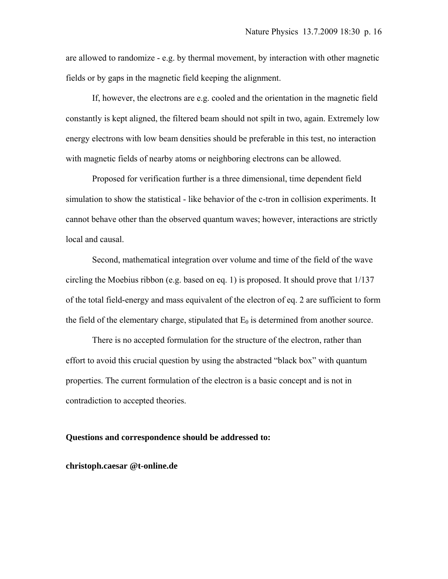are allowed to randomize - e.g. by thermal movement, by interaction with other magnetic fields or by gaps in the magnetic field keeping the alignment.

If, however, the electrons are e.g. cooled and the orientation in the magnetic field constantly is kept aligned, the filtered beam should not spilt in two, again. Extremely low energy electrons with low beam densities should be preferable in this test, no interaction with magnetic fields of nearby atoms or neighboring electrons can be allowed.

Proposed for verification further is a three dimensional, time dependent field simulation to show the statistical - like behavior of the c-tron in collision experiments. It cannot behave other than the observed quantum waves; however, interactions are strictly local and causal.

Second, mathematical integration over volume and time of the field of the wave circling the Moebius ribbon (e.g. based on eq. 1) is proposed. It should prove that 1/137 of the total field-energy and mass equivalent of the electron of eq. 2 are sufficient to form the field of the elementary charge, stipulated that  $E_0$  is determined from another source.

There is no accepted formulation for the structure of the electron, rather than effort to avoid this crucial question by using the abstracted "black box" with quantum properties. The current formulation of the electron is a basic concept and is not in contradiction to accepted theories.

#### **Questions and correspondence should be addressed to:**

**christoph.caesar @t-online.de**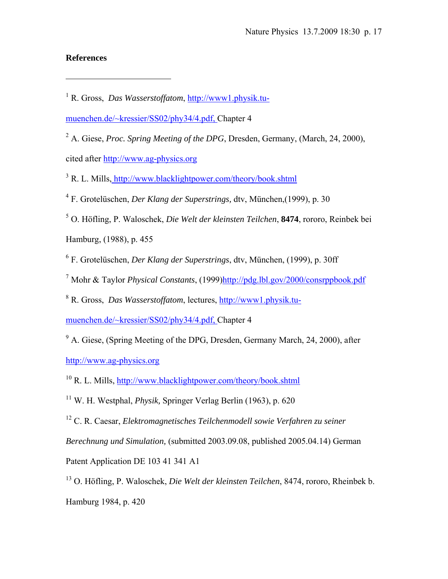# **References**

 $\overline{a}$ 

muenchen.de/~kressier/SS02/phy34/4.pdf, Chapter 4

<sup>2</sup> A. Giese, *Proc. Spring Meeting of the DPG*, Dresden, Germany, (March, 24, 2000), cited after http://www.ag-physics.org

<sup>3</sup> R. L. Mills, http://www.blacklightpower.com/theory/book.shtml

- 4 F. Grotelüschen, *Der Klang der Superstrings,* dtv, München,(1999), p. 30
- 5 O. Höfling, P. Waloschek, *Die Welt der kleinsten Teilchen*, **8474**, rororo, Reinbek bei

Hamburg, (1988), p. 455

6 F. Grotelüschen, *Der Klang der Superstrings*, dtv, München, (1999), p. 30ff

<sup>7</sup> Mohr & Taylor *Physical Constants*, (1999) http://pdg.lbl.gov/2000/consrppbook.pdf

8 R. Gross, *Das Wasserstoffatom*, lectures, http://www1.physik.tu-

muenchen.de/~kressier/SS02/phy34/4.pdf, Chapter 4

<sup>9</sup> A. Giese, (Spring Meeting of the DPG, Dresden, Germany March, 24, 2000), after http://www.ag-physics.org

10 R. L. Mills, http://www.blacklightpower.com/theory/book.shtml

11 W. H. Westphal, *Physik,* Springer Verlag Berlin (1963), p. 620

12 C. R. Caesar, *Elektromagnetisches Teilchenmodell sowie Verfahren zu seiner* 

*Berechnung und Simulation,* (submitted 2003.09.08, published 2005.04.14) German

Patent Application DE 103 41 341 A1

13 O. Höfling, P. Waloschek, *Die Welt der kleinsten Teilchen*, 8474, rororo, Rheinbek b. Hamburg 1984, p. 420

<sup>&</sup>lt;sup>1</sup> R. Gross, *Das Wasserstoffatom*, http://www1.physik.tu-